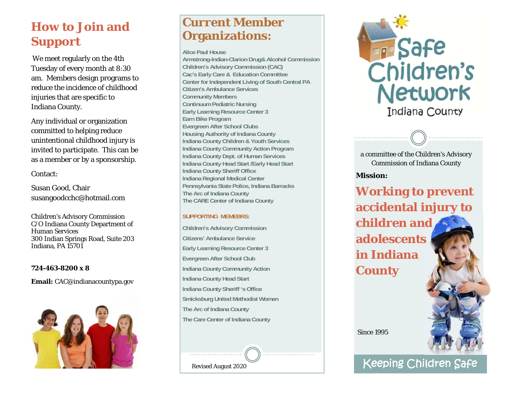# **How to Join and Support**

We meet regularly on the 4th Tuesday of every month at 8:30 am. Members design programs to reduce the incidence of childhood injuries that are specific to Indiana County.

Any individual or organization committed to helping reduce unintentional childhood injury is invited to participate. This can be as a member or by a sponsorship.

### Contact:

Susan Good, Chair susangoodcchc@hotmail.com

Children's Advisory Commission C/O Indiana County Department of Human Services 300 Indian Springs Road, Suite 203 Indiana, PA 15701

#### **724-463-8200 x 8**

**Email:** CAC@indianacountypa.gov



## **Current Member Organizations:**

**Alice Paul House** 

**Armstrong-Indian-Clarion Drug& Alcohol Commission Children's Advisory Commission (CAC) Cac's Early Care & Education Committee Center for Independent Living of South Central PA Citizen's Ambulance Services Community Members Continuum Pediatric Nursing Early Learning Resource Center 3 Earn Bike Program Evergreen After School Clubs Housing Authority of Indiana County Indiana County Children & Youth Services Indiana County Community Action Program Indiana County Dept. of Human Services Indiana County Head Start /Early Head Start Indiana County Sheriff Office Indiana Regional Medical Center Pennsylvania State Police, Indiana Barracks The Arc of Indiana County The CARE Center of Indiana County** 

### **SUPPORTING MEMEBRS:**

**Children's Advisory Commission Citizens' Ambulance Service Early Learning Resource Center 3 Evergreen After School Club Indiana County Community Action Indiana County Head Start Indiana County Sheriff 's Office Smicksburg United Methodist Women The Arc of Indiana County The Care Center of Indiana County** 

Revised August 2020



a committee of the Children's Advisory Commission of Indiana County

### **Mission:**

**Working to prevent accidental injury to children and adolescents in Indiana County** 

Since 1995

Keeping Children Safe